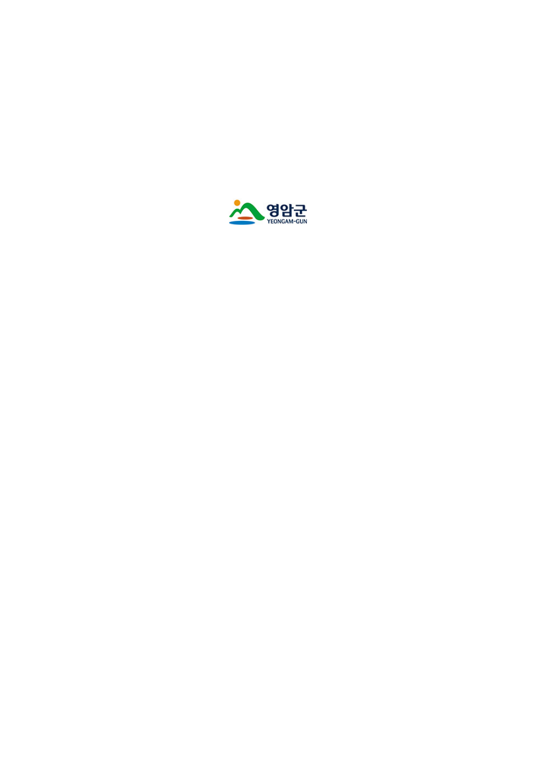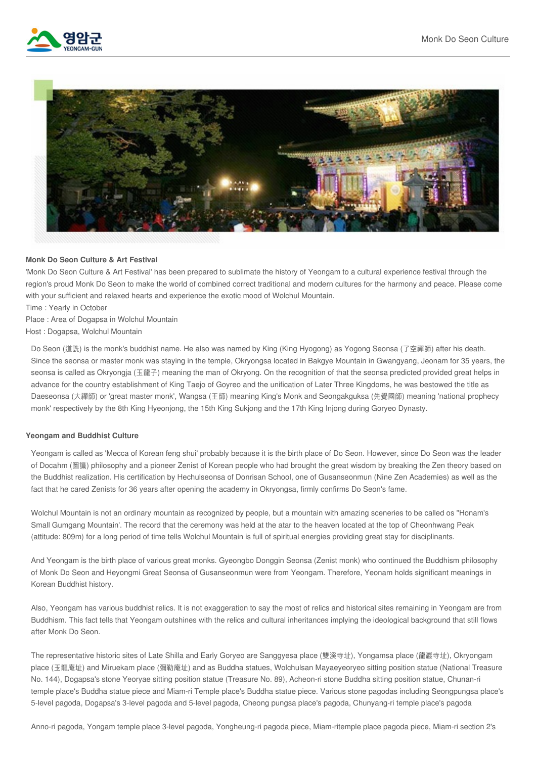



## **Monk Do Seon Culture & Art Festival**

'Monk Do Seon Culture & Art Festival' has been prepared to sublimate the history of Yeongam to a cultural experience festival through the region's proud Monk Do Seon to make the world of combined correct traditional and modern cultures for the harmony and peace. Please come with your sufficient and relaxed hearts and experience the exotic mood of Wolchul Mountain.

Time : Yearly in October

Place : Area of Dogapsa in Wolchul Mountain

Host : Dogapsa, Wolchul Mountain

Do Seon (道詵) is the monk's buddhist name. He also was named by King (King Hyogong) as Yogong Seonsa (了空禪師) after his death. Since the seonsa or master monk was staying in the temple, Okryongsa located in Bakgye Mountain in Gwangyang, Jeonam for 35 years, the seonsa is called as Okryongja (玉龍子) meaning the man of Okryong. On the recognition of that the seonsa predicted provided great helps in advance for the country establishment of King Taejo of Goyreo and the unification of Later Three Kingdoms, he was bestowed the title as Daeseonsa (大禪師) or 'great master monk', Wangsa (王師) meaning King's Monk and Seongakguksa (先覺國師) meaning 'national prophecy monk' respectively by the 8th King Hyeonjong, the 15th King Sukjong and the 17th King Injong during Goryeo Dynasty.

## **Yeongam and Buddhist Culture**

Yeongam is called as 'Mecca of Korean feng shui' probably because it is the birth place of Do Seon. However, since Do Seon was the leader of Docahm (圖讖) philosophy and a pioneer Zenist of Korean people who had brought the great wisdom by breaking the Zen theory based on the Buddhist realization. His certification by Hechulseonsa of Donrisan School, one of Gusanseonmun (Nine Zen Academies) as well as the fact that he cared Zenists for 36 years after opening the academy in Okryongsa, firmly confirms Do Seon's fame.

Wolchul Mountain is not an ordinary mountain as recognized by people, but a mountain with amazing sceneries to be called os "Honam's Small Gumgang Mountain'. The record that the ceremony was held at the atar to the heaven located at the top of Cheonhwang Peak (attitude: 809m) for a long period of time tells Wolchul Mountain is full of spiritual energies providing great stay for disciplinants.

And Yeongam is the birth place of various great monks. Gyeongbo Donggin Seonsa (Zenist monk) who continued the Buddhism philosophy of Monk Do Seon and Heyongmi Great Seonsa of Gusanseonmun were from Yeongam. Therefore, Yeonam holds significant meanings in Korean Buddhist history.

Also, Yeongam has various buddhist relics. It is not exaggeration to say the most of relics and historical sites remaining in Yeongam are from Buddhism. This fact tells that Yeongam outshines with the relics and cultural inheritances implying the ideological background that still flows after Monk Do Seon.

The representative historic sites of Late Shilla and Early Goryeo are Sanggyesa place (雙溪寺址), Yongamsa place (龍巖寺址), Okryongam place (玉龍庵址) and Miruekam place (彌勒庵址) and as Buddha statues, Wolchulsan Mayaeyeoryeo sitting position statue (National Treasure No. 144), Dogapsa's stone Yeoryae sitting position statue (Treasure No. 89), Acheon-ri stone Buddha sitting position statue, Chunan-ri temple place's Buddha statue piece and Miam-ri Temple place's Buddha statue piece. Various stone pagodas including Seongpungsa place's 5-level pagoda, Dogapsa's 3-level pagoda and 5-level pagoda, Cheong pungsa place's pagoda, Chunyang-ri temple place's pagoda

Anno-ri pagoda, Yongam temple place 3-level pagoda, Yongheung-ri pagoda piece, Miam-ritemple place pagoda piece, Miam-ri section 2's